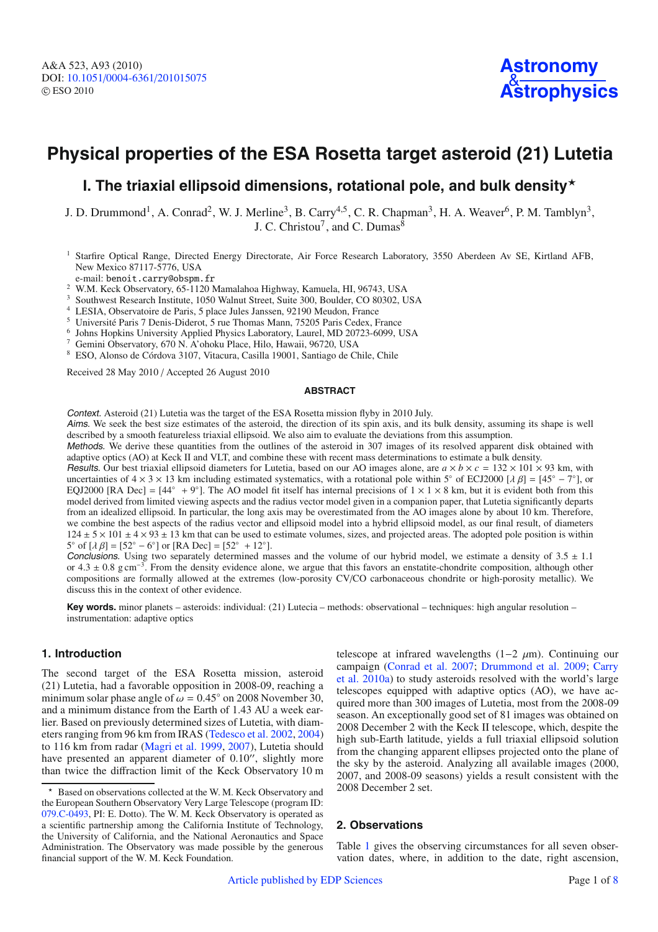# **Physical properties of the ESA Rosetta target asteroid (21) Lutetia**

# **I. The triaxial ellipsoid dimensions, rotational pole, and bulk density** $^{\star}$

J. D. Drummond<sup>1</sup>, A. Conrad<sup>2</sup>, W. J. Merline<sup>3</sup>, B. Carry<sup>4,5</sup>, C. R. Chapman<sup>3</sup>, H. A. Weaver<sup>6</sup>, P. M. Tamblyn<sup>3</sup>, J. C. Christou<sup>7</sup>, and C. Dumas<sup>8</sup>

<sup>1</sup> Starfire Optical Range, Directed Energy Directorate, Air Force Research Laboratory, 3550 Aberdeen Av SE, Kirtland AFB, New Mexico 87117-5776, USA

e-mail: benoit.carry@obspm.fr

- <sup>2</sup> W.M. Keck Observatory, 65-1120 Mamalahoa Highway, Kamuela, HI, 96743, USA
- <sup>3</sup> Southwest Research Institute, 1050 Walnut Street, Suite 300, Boulder, CO 80302, USA
- <sup>4</sup> LESIA, Observatoire de Paris, 5 place Jules Janssen, 92190 Meudon, France
- <sup>5</sup> Université Paris 7 Denis-Diderot, 5 rue Thomas Mann, 75205 Paris Cedex, France
- <sup>6</sup> Johns Hopkins University Applied Physics Laboratory, Laurel, MD 20723-6099, USA
- <sup>7</sup> Gemini Observatory, 670 N. A'ohoku Place, Hilo, Hawaii, 96720, USA
- <sup>8</sup> ESO, Alonso de Córdova 3107, Vitacura, Casilla 19001, Santiago de Chile, Chile

Received 28 May 2010 / Accepted 26 August 2010

#### **ABSTRACT**

Context. Asteroid (21) Lutetia was the target of the ESA Rosetta mission flyby in 2010 July.

Aims. We seek the best size estimates of the asteroid, the direction of its spin axis, and its bulk density, assuming its shape is well described by a smooth featureless triaxial ellipsoid. We also aim to evaluate the deviations from this assumption.

Methods. We derive these quantities from the outlines of the asteroid in 307 images of its resolved apparent disk obtained with adaptive optics (AO) at Keck II and VLT, and combine these with recent mass determinations to estimate a bulk density.

Results. Our best triaxial ellipsoid diameters for Lutetia, based on our AO images alone, are  $a \times b \times c = 132 \times 101 \times 93$  km, with uncertainties of  $4 \times 3 \times 13$  km including estimated systematics, with a rotational pole within 5° of ECJ2000 [ $\lambda \beta$ ] = [45° – 7°], or EQJ2000 [RA Dec] =  $[44° + 9°]$ . The AO model fit itself has internal precisions of  $1 \times 1 \times 8$  km, but it is evident both from this model derived from limited viewing aspects and the radius vector model given in a companion paper, that Lutetia significantly departs from an idealized ellipsoid. In particular, the long axis may be overestimated from the AO images alone by about 10 km. Therefore, we combine the best aspects of the radius vector and ellipsoid model into a hybrid ellipsoid model, as our final result, of diameters  $124 \pm 5 \times 101 \pm 4 \times 93 \pm 13$  km that can be used to estimate volumes, sizes, and projected areas. The adopted pole position is within 5 $\degree$  of  $[λβ] = [52\degree - 6\degree]$  or  $[RA Dec] = [52\degree + 12\degree]$ .

Conclusions. Using two separately determined masses and the volume of our hybrid model, we estimate a density of  $3.5 \pm 1.1$ or 4.3 ± 0.8 g cm<sup>-3</sup>. From the density evidence alone, we argue that this favors an enstatite-chondrite composition, although other compositions are formally allowed at the extremes (low-porosity CV/CO carbonaceous chondrite or high-porosity metallic). We discuss this in the context of other evidence.

**Key words.** minor planets – asteroids: individual: (21) Lutecia – methods: observational – techniques: high angular resolution – instrumentation: adaptive optics

# **1. Introduction**

The second target of the ESA Rosetta mission, asteroid (21) Lutetia, had a favorable opposition in 2008-09, reaching a minimum solar phase angle of  $\omega = 0.45^{\circ}$  on 2008 November 30, and a minimum distance from the Earth of 1.43 AU a week earlier. Based on previously determined sizes of Lutetia, with diameters ranging from 96 km from IRAS [\(Tedesco et al. 2002,](#page-7-0) [2004](#page-7-1)) to 116 km from radar [\(Magri et al. 1999](#page-7-2), [2007](#page-7-3)), Lutetia should have presented an apparent diameter of 0.10", slightly more than twice the diffraction limit of the Keck Observatory 10 m telescope at infrared wavelengths  $(1−2 \mu m)$ . Continuing our cam[paign](#page-7-6) [\(Conrad et al. 2007;](#page-7-4) [Drummond et al. 2009](#page-7-5); Carry et al. [2010a](#page-7-6)) to study asteroids resolved with the world's large telescopes equipped with adaptive optics (AO), we have acquired more than 300 images of Lutetia, most from the 2008-09 season. An exceptionally good set of 81 images was obtained on 2008 December 2 with the Keck II telescope, which, despite the high sub-Earth latitude, yields a full triaxial ellipsoid solution from the changing apparent ellipses projected onto the plane of the sky by the asteroid. Analyzing all available images (2000, 2007, and 2008-09 seasons) yields a result consistent with the 2008 December 2 set.

# **2. Observations**

Table [1](#page-1-0) gives the observing circumstances for all seven observation dates, where, in addition to the date, right ascension,

Based on observations collected at the W. M. Keck Observatory and the European Southern Observatory Very Large Telescope (program ID: [079.C-0493,](http://archive.eso.org/wdb/wdb/eso/eso_archive_main/query?prog_id=079.C-0493%28A%29&max_rows_returned=1000) PI: E. Dotto). The W. M. Keck Observatory is operated as a scientific partnership among the California Institute of Technology, the University of California, and the National Aeronautics and Space Administration. The Observatory was made possible by the generous financial support of the W. M. Keck Foundation.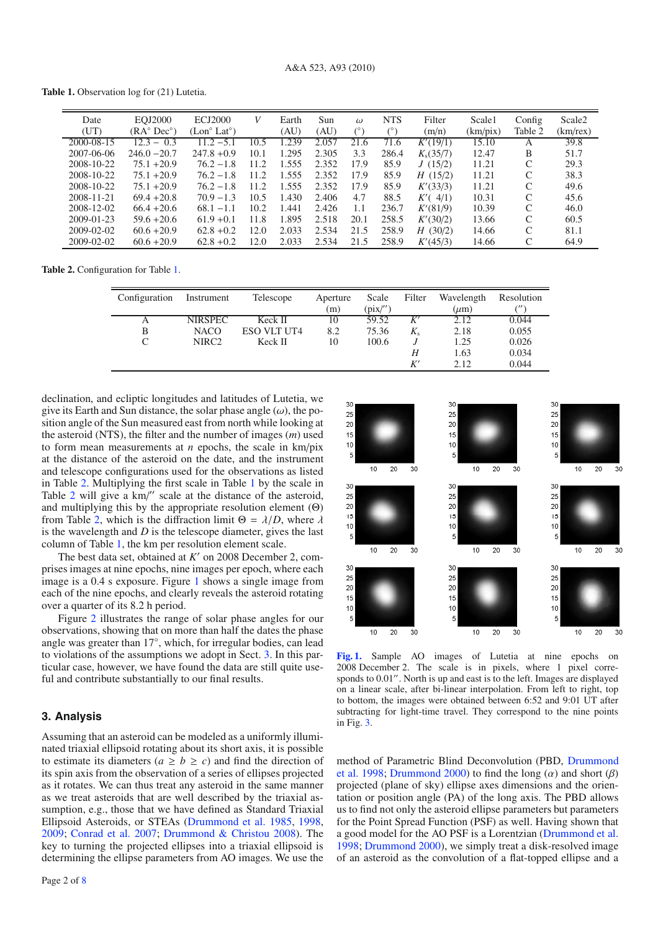<span id="page-1-1"></span><span id="page-1-0"></span>**Table 1.** Observation log for (21) Lutetia.

| Date<br>(UT)     | EQJ2000<br>$(RA^{\circ}Dec^{\circ})$ | <b>ECJ2000</b><br>$(Lon^{\circ} Lat^{\circ})$ | V    | Earth<br>(AU) | Sun<br>(AU) | $\omega$<br>$(^\circ)$ | <b>NTS</b><br>$(^\circ)$ | Filter<br>(m/n) | Scale1<br>(km/pix) | Config<br>Table 2  | Scale <sub>2</sub><br>$(km$ /rex $)$ |
|------------------|--------------------------------------|-----------------------------------------------|------|---------------|-------------|------------------------|--------------------------|-----------------|--------------------|--------------------|--------------------------------------|
| 2000-08-15       | $12.3 - 0.3$                         | $11.2 - 5.1$                                  | 10.5 | 1.239         | 2.057       | 21.6                   | 71.6                     | K'(19/1)        | 15.10              | А                  | 39.8                                 |
| 2007-06-06       | $246.0 - 20.7$                       | $247.8 + 0.9$                                 | 10.1 | 1.295         | 2.305       | 3.3                    | 286.4                    | $K_s(35/7)$     | 12.47              | B                  | 51.7                                 |
| 2008-10-22       | $75.1 + 20.9$                        | $76.2 - 1.8$                                  | 11.2 | 1.555         | 2.352       | 17.9                   | 85.9                     | J(15/2)         | 11.21              | C                  | 29.3                                 |
| 2008-10-22       | $75.1 + 20.9$                        | $76.2 - 1.8$                                  | 11.2 | 1.555         | 2.352       | 17.9                   | 85.9                     | H(15/2)         | 11.21              | C                  | 38.3                                 |
| 2008-10-22       | $75.1 + 20.9$                        | $76.2 - 1.8$                                  | 11.2 | 1.555         | 2.352       | 17.9                   | 85.9                     | K'(33/3)        | 11.21              | C                  | 49.6                                 |
| 2008-11-21       | $69.4 + 20.8$                        | $70.9 - 1.3$                                  | 10.5 | 1.430         | 2.406       | 4.7                    | 88.5                     | K'(4/1)         | 10.31              | C                  | 45.6                                 |
| 2008-12-02       | $66.4 + 20.6$                        | $68.1 - 1.1$                                  | 10.2 | 1.441         | 2.426       | 1.1                    | 236.7                    | K'(81/9)        | 10.39              | C                  | 46.0                                 |
| $2009 - 01 - 23$ | $59.6 + 20.6$                        | $61.9 + 0.1$                                  | 11.8 | 1.895         | 2.518       | 20.1                   | 258.5                    | K'(30/2)        | 13.66              | C                  | 60.5                                 |
| 2009-02-02       | $60.6 + 20.9$                        | $62.8 + 0.2$                                  | 12.0 | 2.033         | 2.534       | 21.5                   | 258.9                    | H(30/2)         | 14.66              | C                  | 81.1                                 |
| 2009-02-02       | $60.6 + 20.9$                        | $62.8 + 0.2$                                  | 12.0 | 2.033         | 2.534       | 21.5                   | 258.9                    | K'(45/3)        | 14.66              | $\curvearrowright$ | 64.9                                 |

**Table 2.** Configuration for Table [1.](#page-1-0)

| Configuration | Instrument        | Telescope          | Aperture | Scale    | Filter  | Wavelength | Resolution |
|---------------|-------------------|--------------------|----------|----------|---------|------------|------------|
|               |                   |                    | (m)      | (pix/'') |         | $(\mu m)$  |            |
| А             | <b>NIRSPEC</b>    | Keck II            | 10       | 59.52    | K'      | 2.12       | 0.044      |
| B             | <b>NACO</b>       | <b>ESO VLT UT4</b> | 8.2      | 75.36    | $K_{s}$ | 2.18       | 0.055      |
| C             | NIRC <sub>2</sub> | Keck II            | 10       | 100.6    |         | 1.25       | 0.026      |
|               |                   |                    |          |          | H       | 1.63       | 0.034      |
|               |                   |                    |          |          | K'      | 2.12       | 0.044      |

declination, and ecliptic longitudes and latitudes of Lutetia, we give its Earth and Sun distance, the solar phase angle  $(\omega)$ , the position angle of the Sun measured east from north while looking at the asteroid (NTS), the filter and the number of images (*m*) used to form mean measurements at *n* epochs, the scale in km/pix at the distance of the asteroid on the date, and the instrument and telescope configurations used for the observations as listed in Table [2.](#page-1-1) Multiplying the first scale in Table [1](#page-1-0) by the scale in Table  $2$  will give a  $km$ " scale at the distance of the asteroid, and multiplying this by the appropriate resolution element (Θ) from Table [2,](#page-1-1) which is the diffraction limit  $\Theta = \lambda/D$ , where  $\lambda$ is the wavelength and *D* is the telescope diameter, gives the last column of Table [1,](#page-1-0) the km per resolution element scale.

The best data set, obtained at *K'* on 2008 December 2, comprises images at nine epochs, nine images per epoch, where each image is a 0.4 s exposure. Figure [1](#page-1-2) shows a single image from each of the nine epochs, and clearly reveals the asteroid rotating over a quarter of its 8.2 h period.

Figure [2](#page-2-0) illustrates the range of solar phase angles for our observations, showing that on more than half the dates the phase angle was greater than 17◦, which, for irregular bodies, can lead to violations of the assumptions we adopt in Sect. [3.](#page-1-3) In this particular case, however, we have found the data are still quite useful and contribute substantially to our final results.

# <span id="page-1-3"></span>**3. Analysis**

Assuming that an asteroid can be modeled as a uniformly illuminated triaxial ellipsoid rotating about its short axis, it is possible to estimate its diameters ( $a \geq b \geq c$ ) and find the direction of its spin axis from the observation of a series of ellipses projected as it rotates. We can thus treat any asteroid in the same manner as we treat asteroids that are well described by the triaxial assumption, e.g., those that we have defined as Standard Triaxial Ellipsoid Asteroids, or STEAs [\(Drummond et al. 1985,](#page-7-8) [1998](#page-7-9), [2009;](#page-7-5) [Conrad et al. 2007;](#page-7-4) [Drummond & Christou 2008\)](#page-7-10). The key to turning the projected ellipses into a triaxial ellipsoid is determining the ellipse parameters from AO images. We use the

<span id="page-1-2"></span>

**[Fig. 1.](http://dexter.edpsciences.org/applet.php?DOI=10.1051/0004-6361/201015075&pdf_id=1)** Sample AO images of Lutetia at nine epochs on 2008 December 2. The scale is in pixels, where 1 pixel corresponds to  $0.01$ ". North is up and east is to the left. Images are displayed on a linear scale, after bi-linear interpolation. From left to right, top to bottom, the images were obtained between 6:52 and 9:01 UT after subtracting for light-time travel. They correspond to the nine points in Fig. [3.](#page-3-0)

met[hod of Parametric Blind Deconvolution \(PBD,](#page-7-9) Drummond et al. [1998](#page-7-9); [Drummond 2000\)](#page-7-11) to find the long ( $\alpha$ ) and short ( $\beta$ ) projected (plane of sky) ellipse axes dimensions and the orientation or position angle (PA) of the long axis. The PBD allows us to find not only the asteroid ellipse parameters but parameters for the Point Spread Function (PSF) as well. Having shown that a good model for the AO PSF is a Lorentzian [\(Drummond et al.](#page-7-9) [1998;](#page-7-9) [Drummond 2000\)](#page-7-11), we simply treat a disk-resolved image of an asteroid as the convolution of a flat-topped ellipse and a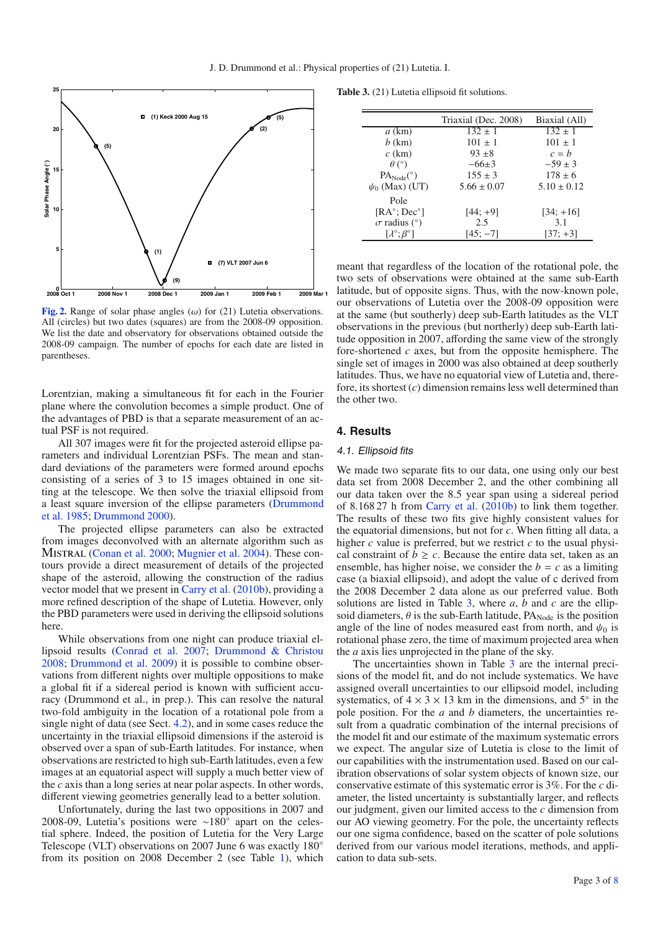<span id="page-2-0"></span>

**[Fig. 2.](http://dexter.edpsciences.org/applet.php?DOI=10.1051/0004-6361/201015075&pdf_id=2)** Range of solar phase angles  $(\omega)$  for (21) Lutetia observations. All (circles) but two dates (squares) are from the 2008-09 opposition. We list the date and observatory for observations obtained outside the 2008-09 campaign. The number of epochs for each date are listed in parentheses.

Lorentzian, making a simultaneous fit for each in the Fourier plane where the convolution becomes a simple product. One of the advantages of PBD is that a separate measurement of an actual PSF is not required.

All 307 images were fit for the projected asteroid ellipse parameters and individual Lorentzian PSFs. The mean and standard deviations of the parameters were formed around epochs consisting of a series of 3 to 15 images obtained in one sitting at the telescope. We then solve the triaxial ellipsoid from a le[ast](#page-7-8) [square](#page-7-8) [inversion](#page-7-8) [of](#page-7-8) [the](#page-7-8) [ellipse](#page-7-8) [parameters](#page-7-8) [\(](#page-7-8)Drummond et al. [1985;](#page-7-8) [Drummond 2000](#page-7-11)).

The projected ellipse parameters can also be extracted from images deconvolved with an alternate algorithm such as MISTRAL [\(Conan et al. 2000](#page-7-12); [Mugnier et al. 2004\)](#page-7-13). These contours provide a direct measurement of details of the projected shape of the asteroid, allowing the construction of the radius vector model that we present in [Carry et al.](#page-7-14) [\(2010b](#page-7-14)), providing a more refined description of the shape of Lutetia. However, only the PBD parameters were used in deriving the ellipsoid solutions here.

While observations from one night can produce triaxial ellipsoid results [\(Conrad et al. 2007](#page-7-4); [Drummond & Christou](#page-7-10) [2008;](#page-7-10) [Drummond et al. 2009](#page-7-5)) it is possible to combine observations from different nights over multiple oppositions to make a global fit if a sidereal period is known with sufficient accuracy (Drummond et al., in prep.). This can resolve the natural two-fold ambiguity in the location of a rotational pole from a single night of data (see Sect. [4.2\)](#page-3-1), and in some cases reduce the uncertainty in the triaxial ellipsoid dimensions if the asteroid is observed over a span of sub-Earth latitudes. For instance, when observations are restricted to high sub-Earth latitudes, even a few images at an equatorial aspect will supply a much better view of the *c* axis than a long series at near polar aspects. In other words, different viewing geometries generally lead to a better solution.

Unfortunately, during the last two oppositions in 2007 and 2008-09, Lutetia's positions were ∼180<sup>°</sup> apart on the celestial sphere. Indeed, the position of Lutetia for the Very Large Telescope (VLT) observations on 2007 June 6 was exactly 180◦ from its position on 2008 December 2 (see Table [1\)](#page-1-0), which

<span id="page-2-1"></span>**Table 3.** (21) Lutetia ellipsoid fit solutions.

|                                 | Triaxial (Dec. 2008) | Biaxial (All)   |
|---------------------------------|----------------------|-----------------|
| $a$ (km)                        | $132 \pm 1$          | $132 \pm 1$     |
| $b$ (km)                        | $101 \pm 1$          | $101 \pm 1$     |
| $c$ (km)                        | $93 + 8$             | $c = b$         |
| $\theta$ (°)                    | $-66\pm3$            | $-59 \pm 3$     |
| $PA_{Node}(°)$                  | $155 \pm 3$          | $178 \pm 6$     |
| $\psi_0$ (Max) (UT)             | $5.66 \pm 0.07$      | $5.10 \pm 0.12$ |
| Pole                            |                      |                 |
| $[RA^{\circ}$ ; Dec $^{\circ}]$ | $[44: +9]$           | $[34; +16]$     |
| $\sigma$ radius (°)             | 2.5                  | 3.1             |
| $[\lambda^\circ;\beta^\circ]$   | $[45:-7]$            | $[37; +3]$      |

meant that regardless of the location of the rotational pole, the two sets of observations were obtained at the same sub-Earth latitude, but of opposite signs. Thus, with the now-known pole, our observations of Lutetia over the 2008-09 opposition were at the same (but southerly) deep sub-Earth latitudes as the VLT observations in the previous (but northerly) deep sub-Earth latitude opposition in 2007, affording the same view of the strongly fore-shortened *c* axes, but from the opposite hemisphere. The single set of images in 2000 was also obtained at deep southerly latitudes. Thus, we have no equatorial view of Lutetia and, therefore, its shortest (*c*) dimension remains less well determined than the other two.

## **4. Results**

#### 4.1. Ellipsoid fits

We made two separate fits to our data, one using only our best data set from 2008 December 2, and the other combining all our data taken over the 8.5 year span using a sidereal period of 8.168 27 h from [Carry et al.](#page-7-14) [\(2010b](#page-7-14)) to link them together. The results of these two fits give highly consistent values for the equatorial dimensions, but not for *c*. When fitting all data, a higher *c* value is preferred, but we restrict *c* to the usual physical constraint of  $b \geq c$ . Because the entire data set, taken as an ensemble, has higher noise, we consider the  $b = c$  as a limiting case (a biaxial ellipsoid), and adopt the value of c derived from the 2008 December 2 data alone as our preferred value. Both solutions are listed in Table [3,](#page-2-1) where *a*, *b* and *c* are the ellipsoid diameters,  $\theta$  is the sub-Earth latitude, PA<sub>Node</sub> is the position angle of the line of nodes measured east from north, and  $\psi_0$  is rotational phase zero, the time of maximum projected area when the *a* axis lies unprojected in the plane of the sky.

The uncertainties shown in Table [3](#page-2-1) are the internal precisions of the model fit, and do not include systematics. We have assigned overall uncertainties to our ellipsoid model, including systematics, of  $4 \times 3 \times 13$  km in the dimensions, and  $5^\circ$  in the pole position. For the *a* and *b* diameters, the uncertainties result from a quadratic combination of the internal precisions of the model fit and our estimate of the maximum systematic errors we expect. The angular size of Lutetia is close to the limit of our capabilities with the instrumentation used. Based on our calibration observations of solar system objects of known size, our conservative estimate of this systematic error is 3%. For the *c* diameter, the listed uncertainty is substantially larger, and reflects our judgment, given our limited access to the *c* dimension from our AO viewing geometry. For the pole, the uncertainty reflects our one sigma confidence, based on the scatter of pole solutions derived from our various model iterations, methods, and application to data sub-sets.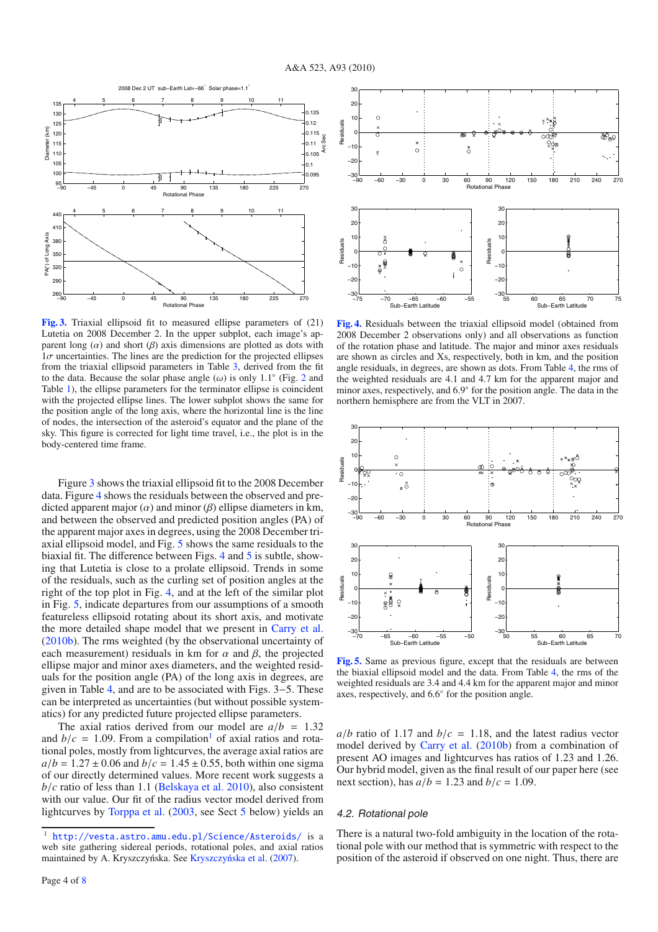<span id="page-3-0"></span>

**[Fig. 3.](http://dexter.edpsciences.org/applet.php?DOI=10.1051/0004-6361/201015075&pdf_id=3)** Triaxial ellipsoid fit to measured ellipse parameters of (21) Lutetia on 2008 December 2. In the upper subplot, each image's apparent long  $(\alpha)$  and short  $(\beta)$  axis dimensions are plotted as dots with  $1\sigma$  uncertainties. The lines are the prediction for the projected ellipses from the triaxial ellipsoid parameters in Table [3,](#page-2-1) derived from the fit to the data. Because the solar phase angle  $(\omega)$  is only 1.1° (Fig. [2](#page-2-0) and Table [1\)](#page-1-0), the ellipse parameters for the terminator ellipse is coincident with the projected ellipse lines. The lower subplot shows the same for the position angle of the long axis, where the horizontal line is the line of nodes, the intersection of the asteroid's equator and the plane of the sky. This figure is corrected for light time travel, i.e., the plot is in the body-centered time frame.

Figure [3](#page-3-0) shows the triaxial ellipsoid fit to the 2008 December data. Figure [4](#page-3-2) shows the residuals between the observed and predicted apparent major  $(\alpha)$  and minor  $(\beta)$  ellipse diameters in km, and between the observed and predicted position angles (PA) of the apparent major axes in degrees, using the 2008 December triaxial ellipsoid model, and Fig. [5](#page-3-3) shows the same residuals to the biaxial fit. The difference between Figs. [4](#page-3-2) and [5](#page-3-3) is subtle, showing that Lutetia is close to a prolate ellipsoid. Trends in some of the residuals, such as the curling set of position angles at the right of the top plot in Fig. [4,](#page-3-2) and at the left of the similar plot in Fig. [5,](#page-3-3) indicate departures from our assumptions of a smooth featureless ellipsoid rotating about its short axis, and motivate the more detailed shape model that we present in [Carry et al.](#page-7-14) [\(2010b](#page-7-14)). The rms weighted (by the observational uncertainty of each measurement) residuals in km for  $\alpha$  and  $\beta$ , the projected ellipse major and minor axes diameters, and the weighted residuals for the position angle (PA) of the long axis in degrees, are given in Table [4,](#page-4-0) and are to be associated with Figs. 3−5. These can be interpreted as uncertainties (but without possible systematics) for any predicted future projected ellipse parameters.

<span id="page-3-4"></span>The axial ratios derived from our model are  $a/b = 1.32$ and  $b/c = 1.09$  $b/c = 1.09$  $b/c = 1.09$ . From a compilation<sup>1</sup> of axial ratios and rotational poles, mostly from lightcurves, the average axial ratios are  $a/b = 1.27 \pm 0.06$  and  $b/c = 1.45 \pm 0.55$ , both within one sigma of our directly determined values. More recent work suggests a  $b/c$  ratio of less than 1.1 [\(Belskaya et al. 2010](#page-7-15)), also consistent with our value. Our fit of the radius vector model derived from lightcurves by [Torppa et al.](#page-7-16) [\(2003,](#page-7-16) see Sect [5](#page-4-1) below) yields an

<span id="page-3-2"></span>

**[Fig. 4.](http://dexter.edpsciences.org/applet.php?DOI=10.1051/0004-6361/201015075&pdf_id=4)** Residuals between the triaxial ellipsoid model (obtained from 2008 December 2 observations only) and all observations as function of the rotation phase and latitude. The major and minor axes residuals are shown as circles and Xs, respectively, both in km, and the position angle residuals, in degrees, are shown as dots. From Table [4,](#page-4-0) the rms of the weighted residuals are 4.1 and 4.7 km for the apparent major and minor axes, respectively, and 6.9◦ for the position angle. The data in the northern hemisphere are from the VLT in 2007.

<span id="page-3-3"></span>

**[Fig. 5.](http://dexter.edpsciences.org/applet.php?DOI=10.1051/0004-6361/201015075&pdf_id=5)** Same as previous figure, except that the residuals are between the biaxial ellipsoid model and the data. From Table [4,](#page-4-0) the rms of the weighted residuals are 3.4 and 4.4 km for the apparent major and minor axes, respectively, and 6.6◦ for the position angle.

 $a/b$  ratio of 1.17 and  $b/c = 1.18$ , and the latest radius vector model derived by [Carry et al.](#page-7-14) [\(2010b](#page-7-14)) from a combination of present AO images and lightcurves has ratios of 1.23 and 1.26. Our hybrid model, given as the final result of our paper here (see next section), has  $a/b = 1.23$  and  $b/c = 1.09$ .

# <span id="page-3-1"></span>4.2. Rotational pole

There is a natural two-fold ambiguity in the location of the rotational pole with our method that is symmetric with respect to the position of the asteroid if observed on one night. Thus, there are

<sup>1</sup> <http://vesta.astro.amu.edu.pl/Science/Asteroids/> is a web site gathering sidereal periods, rotational poles, and axial ratios maintained by A. Kryszczyńska. See Kryszczyńska et al. [\(2007\)](#page-7-17).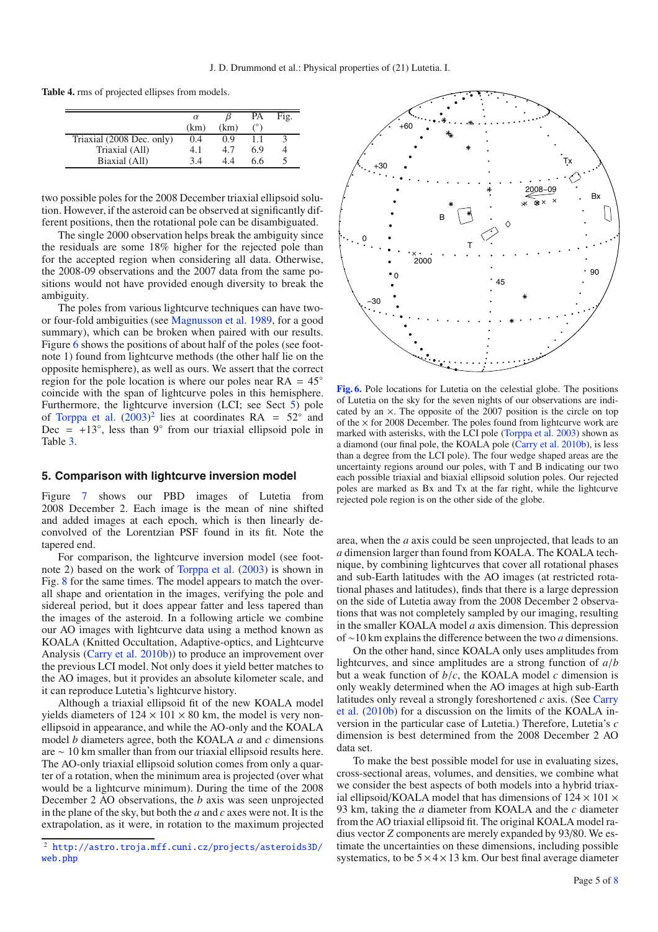<span id="page-4-0"></span>**Table 4.** rms of projected ellipses from models.

|                           | $\alpha$ |      | PA  | Fig. |
|---------------------------|----------|------|-----|------|
|                           | (km)     | (km) |     |      |
| Triaxial (2008 Dec. only) | (0.4)    | 0.9  |     |      |
| Triaxial (All)            | 4.1      | 4.7  | 6.9 |      |
| Biaxial (All)             | 34       | 44   | 6.6 |      |
|                           |          |      |     |      |

two possible poles for the 2008 December triaxial ellipsoid solution. However, if the asteroid can be observed at significantly different positions, then the rotational pole can be disambiguated.

The single 2000 observation helps break the ambiguity since the residuals are some 18% higher for the rejected pole than for the accepted region when considering all data. Otherwise, the 2008-09 observations and the 2007 data from the same positions would not have provided enough diversity to break the ambiguity.

The poles from various lightcurve techniques can have twoor four-fold ambiguities (see [Magnusson et al. 1989](#page-7-18), for a good summary), which can be broken when paired with our results. Figure [6](#page-4-2) shows the positions of about half of the poles (see footnote 1) found from lightcurve methods (the other half lie on the opposite hemisphere), as well as ours. We assert that the correct region for the pole location is where our poles near  $RA = 45°$ coincide with the span of lightcurve poles in this hemisphere. Furthermore, the lightcurve inversion (LCI; see Sect [5\)](#page-4-1) pole of [Torppa et al.](#page-7-16)  $(2003)^2$  $(2003)^2$  $(2003)^2$  lies at coordinates RA =  $52^\circ$  and Dec =  $+13°$ , less than 9° from our triaxial ellipsoid pole in Table [3.](#page-2-1)

# <span id="page-4-1"></span>**5. Comparison with lightcurve inversion model**

Figure [7](#page-5-0) shows our PBD images of Lutetia from 2008 December 2. Each image is the mean of nine shifted and added images at each epoch, which is then linearly deconvolved of the Lorentzian PSF found in its fit. Note the tapered end.

For comparison, the lightcurve inversion model (see footnote 2) based on the work of [Torppa et al.](#page-7-16) [\(2003](#page-7-16)) is shown in Fig. [8](#page-5-1) for the same times. The model appears to match the overall shape and orientation in the images, verifying the pole and sidereal period, but it does appear fatter and less tapered than the images of the asteroid. In a following article we combine our AO images with lightcurve data using a method known as KOALA (Knitted Occultation, Adaptive-optics, and Lightcurve Analysis [\(Carry et al. 2010b](#page-7-14))) to produce an improvement over the previous LCI model. Not only does it yield better matches to the AO images, but it provides an absolute kilometer scale, and it can reproduce Lutetia's lightcurve history.

<span id="page-4-3"></span>Although a triaxial ellipsoid fit of the new KOALA model yields diameters of  $124 \times 101 \times 80$  km, the model is very nonellipsoid in appearance, and while the AO-only and the KOALA model *b* diameters agree, both the KOALA *a* and *c* dimensions are ∼ 10 km smaller than from our triaxial ellipsoid results here. The AO-only triaxial ellipsoid solution comes from only a quarter of a rotation, when the minimum area is projected (over what would be a lightcurve minimum). During the time of the 2008 December 2 AO observations, the *b* axis was seen unprojected in the plane of the sky, but both the *a* and *c* axes were not. It is the extrapolation, as it were, in rotation to the maximum projected

<span id="page-4-2"></span>

**[Fig. 6.](http://dexter.edpsciences.org/applet.php?DOI=10.1051/0004-6361/201015075&pdf_id=6)** Pole locations for Lutetia on the celestial globe. The positions of Lutetia on the sky for the seven nights of our observations are indicated by an ×. The opposite of the 2007 position is the circle on top of the  $\times$  for 2008 December. The poles found from lightcurve work are marked with asterisks, with the LCI pole [\(Torppa et al. 2003\)](#page-7-16) shown as a diamond (our final pole, the KOALA pole [\(Carry et al. 2010b](#page-7-14)), is less than a degree from the LCI pole). The four wedge shaped areas are the uncertainty regions around our poles, with T and B indicating our two each possible triaxial and biaxial ellipsoid solution poles. Our rejected poles are marked as Bx and Tx at the far right, while the lightcurve rejected pole region is on the other side of the globe.

area, when the *a* axis could be seen unprojected, that leads to an *a* dimension larger than found from KOALA. The KOALA technique, by combining lightcurves that cover all rotational phases and sub-Earth latitudes with the AO images (at restricted rotational phases and latitudes), finds that there is a large depression on the side of Lutetia away from the 2008 December 2 observations that was not completely sampled by our imaging, resulting in the smaller KOALA model *a* axis dimension. This depression of ∼10 km explains the difference between the two *a* dimensions.

On the other hand, since KOALA only uses amplitudes from lightcurves, and since amplitudes are a strong function of *a*/*b* but a weak function of *b*/*c*, the KOALA model *c* dimension is only weakly determined when the AO images at high sub-Earth latit[udes only reveal a strongly foreshortened](#page-7-14) *c* axis. (See Carry et al. [\(2010b](#page-7-14)) for a discussion on the limits of the KOALA inversion in the particular case of Lutetia.) Therefore, Lutetia's *c* dimension is best determined from the 2008 December 2 AO data set.

To make the best possible model for use in evaluating sizes, cross-sectional areas, volumes, and densities, we combine what we consider the best aspects of both models into a hybrid triaxial ellipsoid/KOALA model that has dimensions of  $124 \times 101 \times$ 93 km, taking the *a* diameter from KOALA and the *c* diameter from the AO triaxial ellipsoid fit. The original KOALA model radius vector *Z* components are merely expanded by 93/80. We estimate the uncertainties on these dimensions, including possible systematics, to be  $5 \times 4 \times 13$  km. Our best final average diameter

<sup>2</sup> [http://astro.troja.mff.cuni.cz/projects/asteroids3D/](http://astro.troja.mff.cuni.cz/projects/asteroids3D/web.php) [web.php](http://astro.troja.mff.cuni.cz/projects/asteroids3D/web.php)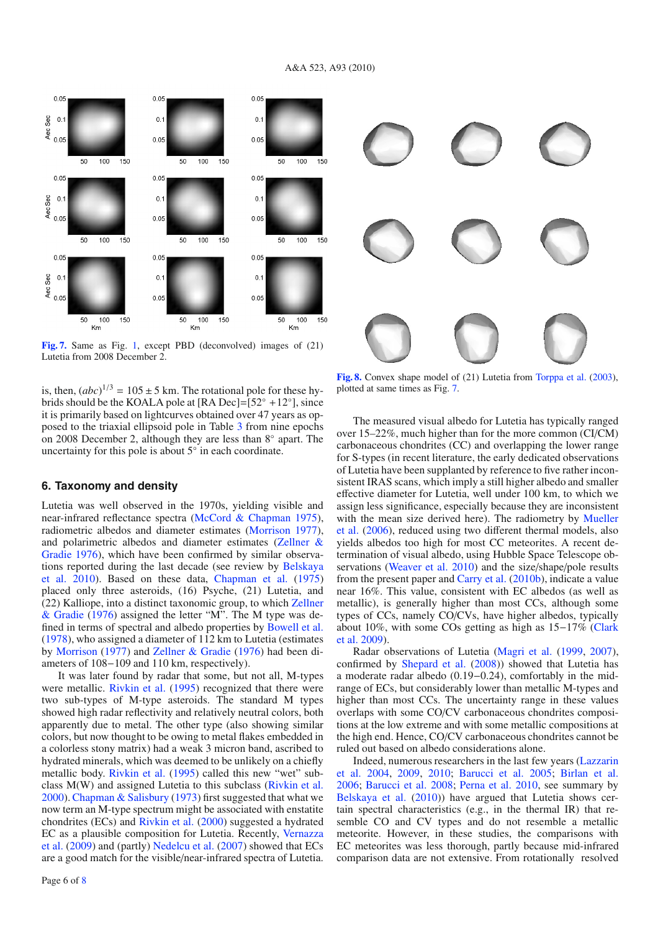<span id="page-5-0"></span>

**[Fig. 7.](http://dexter.edpsciences.org/applet.php?DOI=10.1051/0004-6361/201015075&pdf_id=7)** Same as Fig. [1,](#page-1-2) except PBD (deconvolved) images of (21) Lutetia from 2008 December 2.

is, then,  $(abc)^{1/3} = 105 \pm 5$  km. The rotational pole for these hybrids should be the KOALA pole at [RA Dec]= $[52^{\circ} + 12^{\circ}]$ , since it is primarily based on lightcurves obtained over 47 years as opposed to the triaxial ellipsoid pole in Table [3](#page-2-1) from nine epochs on 2008 December 2, although they are less than 8◦ apart. The uncertainty for this pole is about  $5°$  in each coordinate.

# **6. Taxonomy and density**

Lutetia was well observed in the 1970s, yielding visible and near-infrared reflectance spectra [\(McCord & Chapman 1975\)](#page-7-19), radiometric albedos and diameter estimates [\(Morrison 1977\)](#page-7-20), and p[olarimetric albedos and diameter estimates \(](#page-7-21)Zellner & Gradie [1976](#page-7-21)), which have been confirmed by similar observations [reported during the last decade \(see review by](#page-7-15) Belskaya et al. [2010](#page-7-15)). Based on these data, [Chapman et al.](#page-7-22) [\(1975](#page-7-22)) placed only three asteroids, (16) Psyche, (21) Lutetia, and (22) Kall[iope, into a distinct taxonomic group, to which](#page-7-21) Zellner & Gradie [\(1976\)](#page-7-21) assigned the letter "M". The M type was defined in terms of spectral and albedo properties by [Bowell et al.](#page-7-23) [\(1978](#page-7-23)), who assigned a diameter of 112 km to Lutetia (estimates by [Morrison](#page-7-20) [\(1977\)](#page-7-20) and [Zellner & Gradie](#page-7-21) [\(1976](#page-7-21)) had been diameters of 108−109 and 110 km, respectively).

It was later found by radar that some, but not all, M-types were metallic. [Rivkin et al.](#page-7-24) [\(1995](#page-7-24)) recognized that there were two sub-types of M-type asteroids. The standard M types showed high radar reflectivity and relatively neutral colors, both apparently due to metal. The other type (also showing similar colors, but now thought to be owing to metal flakes embedded in a colorless stony matrix) had a weak 3 micron band, ascribed to hydrated minerals, which was deemed to be unlikely on a chiefly metallic body. [Rivkin et al.](#page-7-24) [\(1995\)](#page-7-24) called this new "wet" subclass M(W) and assigned Lutetia to this subclass [\(Rivkin et al.](#page-7-25) [2000\)](#page-7-25). [Chapman & Salisbury](#page-7-26) [\(1973](#page-7-26)) first suggested that what we now term an M-type spectrum might be associated with enstatite chondrites (ECs) and [Rivkin et al.](#page-7-25) [\(2000\)](#page-7-25) suggested a hydrated EC [as](#page-7-27) [a](#page-7-27) [plausible](#page-7-27) [composition](#page-7-27) [for](#page-7-27) [Lutetia.](#page-7-27) [Recently,](#page-7-27) Vernazza et al. [\(2009](#page-7-27)) and (partly) [Nedelcu et al.](#page-7-28) [\(2007\)](#page-7-28) showed that ECs are a good match for the visible/near-infrared spectra of Lutetia.

<span id="page-5-1"></span>

**[Fig. 8.](http://dexter.edpsciences.org/applet.php?DOI=10.1051/0004-6361/201015075&pdf_id=8)** Convex shape model of (21) Lutetia from [Torppa et al.](#page-7-16) [\(2003\)](#page-7-16), plotted at same times as Fig. [7.](#page-5-0)

The measured visual albedo for Lutetia has typically ranged over 15–22%, much higher than for the more common (CI/CM) carbonaceous chondrites (CC) and overlapping the lower range for S-types (in recent literature, the early dedicated observations of Lutetia have been supplanted by reference to five rather inconsistent IRAS scans, which imply a still higher albedo and smaller effective diameter for Lutetia, well under 100 km, to which we assign less significance, especially because they are inconsistent with [the](#page-7-29) [mean](#page-7-29) [size](#page-7-29) [derived](#page-7-29) [here\).](#page-7-29) [The](#page-7-29) [radiometry](#page-7-29) [by](#page-7-29) Mueller et al. [\(2006](#page-7-29)), reduced using two different thermal models, also yields albedos too high for most CC meteorites. A recent determination of visual albedo, using Hubble Space Telescope observations [\(Weaver et al. 2010\)](#page-7-30) and the size/shape/pole results from the present paper and [Carry et al.](#page-7-14) [\(2010b](#page-7-14)), indicate a value near 16%. This value, consistent with EC albedos (as well as metallic), is generally higher than most CCs, although some types of CCs, namely CO/CVs, have higher albedos, typically abou[t 10%, with some COs getting as high as 15](#page-7-31)−17% (Clark et al. [2009](#page-7-31)).

Radar observations of Lutetia [\(Magri et al.](#page-7-2) [\(1999](#page-7-2), [2007\)](#page-7-3), confirmed by [Shepard et al.](#page-7-32) [\(2008](#page-7-32))) showed that Lutetia has a moderate radar albedo (0.19−0.24), comfortably in the midrange of ECs, but considerably lower than metallic M-types and higher than most CCs. The uncertainty range in these values overlaps with some CO/CV carbonaceous chondrites compositions at the low extreme and with some metallic compositions at the high end. Hence, CO/CV carbonaceous chondrites cannot be ruled out based on albedo considerations alone.

I[ndeed, numerous researchers in the last few years \(](#page-7-33)Lazzarin et al. [2004](#page-7-33), [2009,](#page-7-34) [2010](#page-7-35); [Barucci et al. 2005](#page-7-36); [Birlan et al.](#page-7-37) [2006;](#page-7-37) [Barucci et al. 2008;](#page-7-38) [Perna et al. 2010](#page-7-39), see summary by [Belskaya et al.](#page-7-15) [\(2010\)](#page-7-15)) have argued that Lutetia shows certain spectral characteristics (e.g., in the thermal IR) that resemble CO and CV types and do not resemble a metallic meteorite. However, in these studies, the comparisons with EC meteorites was less thorough, partly because mid-infrared comparison data are not extensive. From rotationally resolved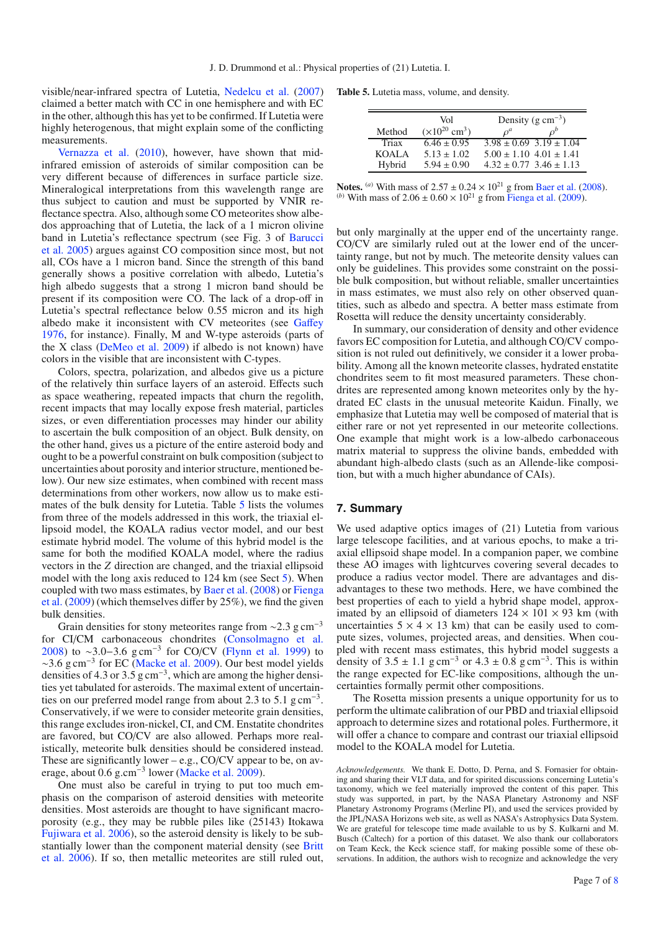visible/near-infrared spectra of Lutetia, [Nedelcu et al.](#page-7-28) [\(2007](#page-7-28)) claimed a better match with CC in one hemisphere and with EC in the other, although this has yet to be confirmed. If Lutetia were highly heterogenous, that might explain some of the conflicting [measurements.](#page-7-40)

Vernazza et al. [\(2010\)](#page-7-40), however, have shown that midinfrared emission of asteroids of similar composition can be very different because of differences in surface particle size. Mineralogical interpretations from this wavelength range are thus subject to caution and must be supported by VNIR reflectance spectra. Also, although some CO meteorites show albedos approaching that of Lutetia, the lack of a 1 micron olivine band [in Lutetia's reflectance spectrum \(see Fig. 3 of](#page-7-36) Barucci et al. [2005\)](#page-7-36) argues against CO composition since most, but not all, COs have a 1 micron band. Since the strength of this band generally shows a positive correlation with albedo, Lutetia's high albedo suggests that a strong 1 micron band should be present if its composition were CO. The lack of a drop-off in Lutetia's spectral reflectance below 0.55 micron and its high albedo make it inconsistent with CV meteorites (see [Ga](#page-7-41)ffey [1976,](#page-7-41) for instance). Finally, M and W-type asteroids (parts of the X class [\(DeMeo et al. 2009\)](#page-7-42) if albedo is not known) have colors in the visible that are inconsistent with C-types.

Colors, spectra, polarization, and albedos give us a picture of the relatively thin surface layers of an asteroid. Effects such as space weathering, repeated impacts that churn the regolith, recent impacts that may locally expose fresh material, particles sizes, or even differentiation processes may hinder our ability to ascertain the bulk composition of an object. Bulk density, on the other hand, gives us a picture of the entire asteroid body and ought to be a powerful constraint on bulk composition (subject to uncertainties about porosity and interior structure, mentioned below). Our new size estimates, when combined with recent mass determinations from other workers, now allow us to make estimates of the bulk density for Lutetia. Table [5](#page-6-0) lists the volumes from three of the models addressed in this work, the triaxial ellipsoid model, the KOALA radius vector model, and our best estimate hybrid model. The volume of this hybrid model is the same for both the modified KOALA model, where the radius vectors in the *Z* direction are changed, and the triaxial ellipsoid model with the long axis reduced to 124 km (see Sect [5\)](#page-4-1). When cou[pled with two mass estimates, by](#page-7-44) [Baer et al.](#page-7-43) [\(2008\)](#page-7-43) or Fienga et al. [\(2009](#page-7-44)) (which themselves differ by 25%), we find the given bulk densities.

Grain densities for stony meteorites range from  $\sim$ 2.3 g cm<sup>-3</sup> for CI/CM carbonaceous chondrites [\(Consolmagno et al.](#page-7-45) [2008\)](#page-7-45) to ~3.0–3.6 g cm<sup>-3</sup> for CO/CV [\(Flynn et al. 1999](#page-7-46)) to ∼3.6 g cm−<sup>3</sup> for EC [\(Macke et al. 2009](#page-7-47)). Our best model yields densities of 4.3 or 3.5 g cm−3, which are among the higher densities yet tabulated for asteroids. The maximal extent of uncertainties on our preferred model range from about 2.3 to 5.1  $\text{g cm}^{-3}$ . Conservatively, if we were to consider meteorite grain densities, this range excludes iron-nickel, CI, and CM. Enstatite chondrites are favored, but CO/CV are also allowed. Perhaps more realistically, meteorite bulk densities should be considered instead. These are significantly lower – e.g.,  $CO/CV$  appear to be, on average, about 0.6 g.cm−<sup>3</sup> lower [\(Macke et al. 2009](#page-7-47)).

One must also be careful in trying to put too much emphasis on the comparison of asteroid densities with meteorite densities. Most asteroids are thought to have significant macroporosity (e.g., they may be rubble piles like (25143) Itokawa [Fujiwara et al. 2006\)](#page-7-48), so the asteroid density is likely to be substant[ially lower than the component material density \(see](#page-7-49) Britt et al. [2006](#page-7-49)). If so, then metallic meteorites are still ruled out,

<span id="page-6-0"></span>**Table 5.** Lutetia mass, volume, and density.

| Method | Vol<br>$(\times 10^{20}$ cm <sup>3</sup> ) | Density $(g \text{ cm}^{-3})$<br>$\alpha^a$ |
|--------|--------------------------------------------|---------------------------------------------|
| Triax  | $6.46 \pm 0.95$                            | $3.98 \pm 0.69$ $3.19 \pm 1.04$             |
| KOALA  | $5.13 \pm 1.02$                            | $5.00 \pm 1.10$ $4.01 \pm 1.41$             |
| Hybrid | $5.94 \pm 0.90$                            | $4.32 \pm 0.77$ $3.46 \pm 1.13$             |

**Notes.** (*a*) With mass of  $2.57 \pm 0.24 \times 10^{21}$  g from [Baer et al.](#page-7-43) [\(2008](#page-7-43)). (*b*) With mass of  $2.06 \pm 0.60 \times 10^{21}$  g from [Fienga et al.](#page-7-44) [\(2009\)](#page-7-44).

but only marginally at the upper end of the uncertainty range. CO/CV are similarly ruled out at the lower end of the uncertainty range, but not by much. The meteorite density values can only be guidelines. This provides some constraint on the possible bulk composition, but without reliable, smaller uncertainties in mass estimates, we must also rely on other observed quantities, such as albedo and spectra. A better mass estimate from Rosetta will reduce the density uncertainty considerably.

In summary, our consideration of density and other evidence favors EC composition for Lutetia, and although CO/CV composition is not ruled out definitively, we consider it a lower probability. Among all the known meteorite classes, hydrated enstatite chondrites seem to fit most measured parameters. These chondrites are represented among known meteorites only by the hydrated EC clasts in the unusual meteorite Kaidun. Finally, we emphasize that Lutetia may well be composed of material that is either rare or not yet represented in our meteorite collections. One example that might work is a low-albedo carbonaceous matrix material to suppress the olivine bands, embedded with abundant high-albedo clasts (such as an Allende-like composition, but with a much higher abundance of CAIs).

# **7. Summary**

We used adaptive optics images of  $(21)$  Lutetia from various large telescope facilities, and at various epochs, to make a triaxial ellipsoid shape model. In a companion paper, we combine these AO images with lightcurves covering several decades to produce a radius vector model. There are advantages and disadvantages to these two methods. Here, we have combined the best properties of each to yield a hybrid shape model, approximated by an ellipsoid of diameters  $124 \times 101 \times 93$  km (with uncertainties  $5 \times 4 \times 13$  km) that can be easily used to compute sizes, volumes, projected areas, and densities. When coupled with recent mass estimates, this hybrid model suggests a density of  $3.5 \pm 1.1$  g cm<sup>-3</sup> or  $4.3 \pm 0.8$  g cm<sup>-3</sup>. This is within the range expected for EC-like compositions, although the uncertainties formally permit other compositions.

The Rosetta mission presents a unique opportunity for us to perform the ultimate calibration of our PBD and triaxial ellipsoid approach to determine sizes and rotational poles. Furthermore, it will offer a chance to compare and contrast our triaxial ellipsoid model to the KOALA model for Lutetia.

*Acknowledgements.* We thank E. Dotto, D. Perna, and S. Fornasier for obtaining and sharing their VLT data, and for spirited discussions concerning Lutetia's taxonomy, which we feel materially improved the content of this paper. This study was supported, in part, by the NASA Planetary Astronomy and NSF Planetary Astronomy Programs (Merline PI), and used the services provided by the JPL/NASA Horizons web site, as well as NASA's Astrophysics Data System. We are grateful for telescope time made available to us by S. Kulkarni and M. Busch (Caltech) for a portion of this dataset. We also thank our collaborators on Team Keck, the Keck science staff, for making possible some of these observations. In addition, the authors wish to recognize and acknowledge the very